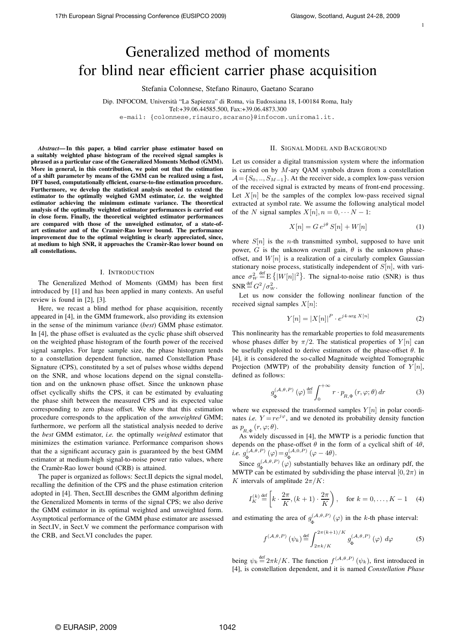1

# Generalized method of moments for blind near efficient carrier phase acquisition

Stefania Colonnese, Stefano Rinauro, Gaetano Scarano

Dip. INFOCOM, Università "La Sapienza" di Roma, via Eudossiana 18, I-00184 Roma, Italy

Tel:+39.06.44585.500, Fax:+39.06.4873.300

e-mail: {colonnese,rinauro,scarano}@infocom.uniroma1.it.

*Abstract***— In this paper, a blind carrier phase estimator based on a suitably weighted phase histogram of the received signal samples is phrased as a particular case of the Generalized Moments Method (GMM). More in general, in this contribution, we point out that the estimation of a shift parameter by means of the GMM can be realized using a fast, DFT based, computationally efficient, coarse-to-fine estimation procedure. Furthermore, we develop the statistical analysis needed to extend the estimator to the optimally weighed GMM estimator,** *i.e.* **the weighted estimator achieving the minimum estimate variance. The theoretical analysis of the optimally weighted estimator performances is carried out in close form. Finally, the theoretical weighted estimator performances are compared with those of the unweighed estimator, of a state-ofart estimator and of the Cram`er-Rao lower bound. The performance improvement due to the optimal weighting is clearly appreciated, since, at medium to high SNR, it approaches the Cram`er-Rao lower bound on all constellations.**

## I. INTRODUCTION

The Generalized Method of Moments (GMM) has been first introduced by [1] and has been applied in many contexts. An useful review is found in [2], [3].

Here, we recast a blind method for phase acquisition, recently appeared in [4], in the GMM framework, also providing its extension in the sense of the minimum variance (*best*) GMM phase estimator. In [4], the phase offset is evaluated as the cyclic phase shift observed on the weighted phase histogram of the fourth power of the received signal samples. For large sample size, the phase histogram tends to a constellation dependent function, named Constellation Phase Signature (CPS), constituted by a set of pulses whose widths depend on the SNR, and whose locations depend on the signal constellation and on the unknown phase offset. Since the unknown phase offset cyclically shifts the CPS, it can be estimated by evaluating the phase shift between the measured CPS and its expected value corresponding to zero phase offset. We show that this estimation procedure corresponds to the application of the *unweighted* GMM; furthermore, we perform all the statistical analysis needed to derive the *best* GMM estimator, *i.e.* the optimally *weighted* estimator that minimizes the estimation variance. Performance comparison shows that the a significant accuracy gain is guaranteed by the best GMM estimator at medium-high signal-to-noise power ratio values, where the Cramèr-Rao lower bound (CRB) is attained.

The paper is organized as follows: Sect.II depicts the signal model, recalling the definition of the CPS and the phase estimation criterion adopted in [4]. Then, Sect.III describes the GMM algorithm defining the Generalized Moments in terms of the signal CPS; we also derive the GMM estimator in its optimal weighted and unweighted form. Asymptotical performance of the GMM phase estimator are assessed in Sect.IV, in Sect.V we comment the performance comparison with the CRB, and Sect.VI concludes the paper.

### II. SIGNAL MODEL AND BACKGROUND

Let us consider a digital transmission system where the information is carried on by  $M$ -ary QAM symbols drawn from a constellation  $A = \{S_0, ..., S_{M-1}\}.$  At the receiver side, a complex low-pass version of the received signal is extracted by means of front-end processing. Let  $X[n]$  be the samples of the complex low-pass received signal extracted at symbol rate. We assume the following analytical model of the N signal samples  $X[n], n = 0, \cdots N - 1$ :

$$
X[n] = G e^{j\theta} S[n] + W[n] \tag{1}
$$

where  $S[n]$  is the *n*-th transmitted symbol, supposed to have unit power, G is the unknown overall gain,  $\theta$  is the unknown phaseoffset, and  $W[n]$  is a realization of a circularly complex Gaussian stationary noise process, statistically independent of  $S[n]$ , with variance  $\sigma_W^2 \frac{\text{def}}{\text{w}} \to \{ |W[n]|^2 \}.$  The signal-to-noise ratio (SNR) is thus  $SNR \stackrel{\text{def}}{=} G^2/\sigma_W^2$ .

Let us now consider the following nonlinear function of the received signal samples  $X[n]$ :

$$
Y[n] = |X[n]|^P \cdot e^{j4 \cdot \arg X[n]} \tag{2}
$$

This nonlinearity has the remarkable properties to fold measurements whose phases differ by  $\pi/2$ . The statistical properties of  $Y[n]$  can be usefully exploited to derive estimators of the phase-offset  $\theta$ . In [4], it is considered the so-called Magnitude weighted Tomographic Projection (MWTP) of the probability density function of  $Y[n]$ , defined as follows:

$$
g_{\Phi}^{(\mathcal{A},\theta,P)}(\varphi) \stackrel{\text{def}}{=} \int_{0}^{+\infty} r \cdot p_{R,\Phi}(r,\varphi;\theta) dr \tag{3}
$$

where we expressed the transformed samples  $Y[n]$  in polar coordinates *i.e.*  $Y = re^{j\varphi}$ , and we denoted its probability density function as  $p_{R,\Phi}^{\prime}(r,\varphi;\theta)$ .<br>As widely dis-

As widely discussed in [4], the MWTP is a periodic function that depends on the phase-offset  $\theta$  in the form of a cyclical shift of 4 $\theta$ ,<br>*i.e.*  $g_{\phi}^{(\mathcal{A},\theta,P)}(\varphi) = g_{\phi}^{(\mathcal{A},0,P)}(\varphi - 4\theta)$ .<br>Since  $g^{(\mathcal{A},\theta,P)}(\varphi)$  substantially behave like an ardinary aff the

Since  $g_{\Phi}^{(\mathcal{A},\theta,P)}(\varphi)$  substantially behaves like an ordinary pdf, the WTP can be estimated by subdividing the phase interval [0,  $2\pi$ ] in MWTP can be estimated by subdividing the phase interval  $[0, 2\pi)$  in K intervals of amplitude  $2\pi/K$ :

$$
I_K^{(k)} \stackrel{\text{def}}{=} \left[ k \cdot \frac{2\pi}{K}, (k+1) \cdot \frac{2\pi}{K} \right), \quad \text{for } k = 0, \dots, K-1 \quad (4)
$$

and estimating the area of  $g_{\Phi}^{(\mathcal{A}, \theta, P)}(\varphi)$  in the k-th phase interval:

$$
f^{(\mathcal{A},\theta,P)}(\psi_k) \stackrel{\text{def}}{=} \int_{2\pi k/K}^{2\pi(k+1)/K} g_{\Phi}^{(\mathcal{A},\theta,P)}(\varphi) \, d\varphi \tag{5}
$$

being  $\psi_k \stackrel{\text{def}}{=} 2\pi k/K$ . The function  $f^{(\mathcal{A},\theta,P)}(\psi_k)$ , first introduced in  $[4]$  is constallation dependent and it is named Constallation Phase [4], is constellation dependent, and it is named *Constellation Phase*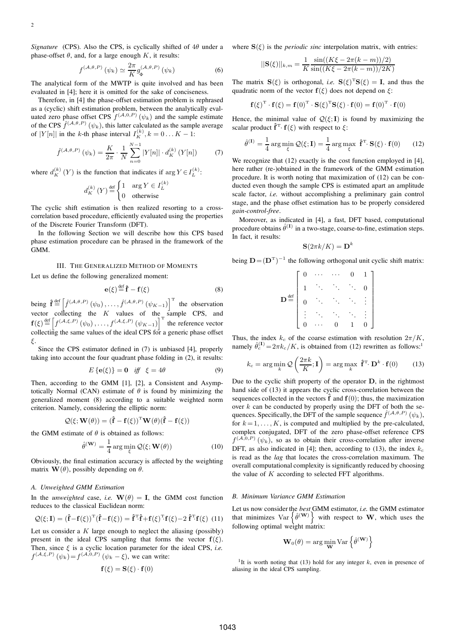*Signature* (CPS). Also the CPS, is cyclically shifted of  $4\theta$  under a where  $\mathbf{S}(\xi)$  is the *periodic sinc* interpolation matrix, with entries: phase-offset  $\theta$ , and, for a large enough K, it results:

$$
f^{(\mathcal{A},\theta,P)}(\psi_k) \simeq \frac{2\pi}{K} g_{\Phi}^{(\mathcal{A},\theta,P)}(\psi_k)
$$
 (6)

The analytical form of the MWTP is quite involved and has been evaluated in [4]; here it is omitted for the sake of conciseness.

Therefore, in [4] the phase-offset estimation problem is rephrased as a (cyclic) shift estimation problem, between the analytically evaluated zero phase offset CPS  $f^{(\mathcal{A},0,P)}(\psi_k)$  and the sample estimate<br>of the CPS  $\hat{f}^{(\mathcal{A},\theta,P)}(\psi_k)$ , this latter calculated as the sample average of the CPS  $\hat{f}^{(A,\theta,P)}(\psi_k)$ , this latter calculated as the sample average<br>of  $|V[n]|$  in the k th phase interval  $I^{(k)}(k) = 0$   $K = 1$ . of  $|Y[n]|$  in the k-th phase interval  $I_K^{(k)}$ ,  $k = 0 \dots K - 1$ :

$$
\hat{f}^{(\mathcal{A},\theta,P)}(\psi_k) = \frac{K}{2\pi} \cdot \frac{1}{N} \sum_{n=0}^{N-1} |Y[n]| \cdot d_K^{(k)}(Y[n]) \tag{7}
$$

where  $d_K^{(k)}(Y)$  is the function that indicates if arg  $Y \in I_L^{(k)}$ :

$$
d_K^{(k)}\left(Y\right) \stackrel{\text{def}}{=} \begin{cases} 1 & \text{arg } Y \in I_L^{(k)} \\ 0 & \text{otherwise} \end{cases}
$$

The cyclic shift estimation is then realized resorting to a crosscorrelation based procedure, efficiently evaluated using the properties of the Discrete Fourier Transform (DFT).

In the following Section we will describe how this CPS based phase estimation procedure can be phrased in the framework of the GMM.

#### III. THE GENERALIZED METHOD OF MOMENTS

Let us define the following generalized moment:

$$
\mathbf{e}(\xi) \stackrel{\text{def}}{=} \hat{\mathbf{f}} - \mathbf{f}(\xi) \tag{8}
$$

being  $\hat{\mathbf{f}} \stackrel{\text{def}}{=}$  $\left[\hat{f}^{(\mathcal{A},\theta,P)}(\psi_0),\ldots,\hat{f}^{(\mathcal{A},\theta,P)}(\psi_{K-1})\right]^{\text{T}}$  the observation vector collecting the  $K$  values of the sample CPS, and  $f(\xi) \stackrel{\text{def}}{=} \left[ f^{(\mathcal{A}, \xi, P)}(\psi_0), \dots, f^{(\mathcal{A}, \xi, P)}(\psi_{K-1}) \right]^{\text{T}}$  the reference vector  $\begin{bmatrix} 1 & 0 & 0 \\ 0 & 0 & 0 \end{bmatrix}$  and the same values of the ideal CPS for a generic phase offset ξ.

Since the CPS estimator defined in (7) is unbiased [4], properly taking into account the four quadrant phase folding in (2), it results:

$$
E\left\{ \mathbf{e}(\xi) \right\} = \mathbf{0} \quad \text{iff} \quad \xi = 4\theta \tag{9}
$$

Then, according to the GMM [1], [2], a Consistent and Asymptotically Normal (CAN) estimate of  $\theta$  is found by minimizing the generalized moment (8) according to a suitable weighted norm criterion. Namely, considering the elliptic norm:

$$
Q(\xi; \mathbf{W}(\theta)) = (\hat{\mathbf{f}} - \mathbf{f}(\xi))^{\mathrm{T}} \mathbf{W}(\theta) (\hat{\mathbf{f}} - \mathbf{f}(\xi))
$$

the GMM estimate of  $\theta$  is obtained as follows:

$$
\hat{\theta}^{(\mathbf{W})} = \frac{1}{4} \arg \min_{\xi} \mathcal{Q}(\xi; \mathbf{W}(\theta))
$$
\n(10)

Obviously, the final estimation accuracy is affected by the weighting matrix  $\mathbf{W}(\theta)$ , possibly depending on  $\theta$ .

#### *A. Unweighted GMM Estimation*

In the *unweighted* case, *i.e.*  $\mathbf{W}(\theta) = \mathbf{I}$ , the GMM cost function reduces to the classical Euclidean norm:

$$
\mathcal{Q}(\xi; \mathbf{I}) = (\hat{\mathbf{f}} - \mathbf{f}(\xi))^{\mathrm{T}} (\hat{\mathbf{f}} - \mathbf{f}(\xi)) = \hat{\mathbf{f}}^{\mathrm{T}} \hat{\mathbf{f}} + \mathbf{f}(\xi)^{\mathrm{T}} \mathbf{f}(\xi) - 2 \hat{\mathbf{f}}^{\mathrm{T}} \mathbf{f}(\xi)
$$
 (11)

Let us consider a  $K$  large enough to neglect the aliasing (possibly) present in the ideal CPS sampling that forms the vector  $f(\xi)$ . Then, since  $\xi$  is a cyclic location parameter for the ideal CPS, *i.e.*  $f^{(A,\xi,P)}(\psi_k) = f^{(A,0,P)}(\psi_k - \xi)$ , we can write:

$$
\mathbf{f}(\xi) = \mathbf{S}(\xi) \cdot \mathbf{f}(0)
$$

$$
||\mathbf{S}(\xi)||_{k,m} = \frac{1}{K} \frac{\sin((K\xi - 2\pi(k-m))/2)}{\sin((K\xi - 2\pi(k-m))/2K)}
$$

The matrix  $\mathbf{S}(\xi)$  is orthogonal, *i.e.*  $\mathbf{S}(\xi)^T \mathbf{S}(\xi) = \mathbf{I}$ , and thus the quadratic norm of the vector  $\mathbf{f}(\xi)$  does not depend on  $\xi$ . quadratic norm of the vector  $f(\xi)$  does not depend on  $\xi$ :

$$
\mathbf{f}(\xi)^{\mathrm{T}} \cdot \mathbf{f}(\xi) = \mathbf{f}(0)^{\mathrm{T}} \cdot \mathbf{S}(\xi)^{\mathrm{T}} \mathbf{S}(\xi) \cdot \mathbf{f}(0) = \mathbf{f}(0)^{\mathrm{T}} \cdot \mathbf{f}(0)
$$

Hence, the minimal value of  $Q(\xi; \mathbf{I})$  is found by maximizing the scalar product  $\hat{\mathbf{f}}^{\mathrm{T}} \cdot \mathbf{f}(\xi)$  with respect to  $\xi$ :

$$
\hat{\theta}^{(\mathbf{I})} = \frac{1}{4} \arg \min_{\xi} \mathcal{Q}(\xi; \mathbf{I}) = \frac{1}{4} \arg \max_{\xi} \hat{\mathbf{f}}^{\mathrm{T}} \cdot \mathbf{S}(\xi) \cdot \mathbf{f}(0) \qquad (12)
$$

We recognize that  $(12)$  exactly is the cost function employed in [4], here rather (re-)obtained in the framework of the GMM estimation procedure. It is worth noting that maximization of (12) can be conducted even though the sample CPS is estimated apart an amplitude scale factor, *i.e.* without accomplishing a preliminary gain control stage, and the phase offset estimation has to be properly considered *gain-control-free*.

Moreover, as indicated in [4], a fast, DFT based, computational procedure obtains  $\hat{\theta}^{(I)}$  in a two-stage, coarse-to-fine, estimation steps. In fact, it results:

$$
\mathbf{S}(2\pi k/K)=\mathbf{D}^k
$$

being  $D = (D<sup>T</sup>)<sup>-1</sup>$  the following orthogonal unit cyclic shift matrix:

| def |  |  |  |
|-----|--|--|--|
|     |  |  |  |
|     |  |  |  |
|     |  |  |  |

Thus, the index  $k_c$  of the coarse estimation with resolution  $2\pi/K$ , namely  $\hat{\theta}_c^{(1)} = 2\pi k_c/K$ , is obtained from (12) rewritten as follows:<sup>1</sup>

$$
k_c = \arg\min_{k} \mathcal{Q}\left(\frac{2\pi k}{K}; \mathbf{I}\right) = \arg\max_{k} \hat{\mathbf{f}}^{\mathrm{T}} \cdot \mathbf{D}^k \cdot \mathbf{f}(0) \tag{13}
$$

Due to the cyclic shift property of the operator **D**, in the rightmost hand side of (13) it appears the cyclic cross-correlation between the sequences collected in the vectors  $\hat{\mathbf{f}}$  and  $\mathbf{f}(0)$ ; thus, the maximization over  $k$  can be conducted by properly using the DFT of both the sequences. Specifically, the DFT of the sample sequence  $\hat{f}^{(A,\theta,P)}(\psi_k)$ , for  $k = 1, \ldots, K$ , is computed and multiplied by the pre-calculated, complex conjugated, DFT of the zero phase-offset reference CPS  $f^{(\mathcal{A},0,P)}(\psi_k)$ , so as to obtain their cross-correlation after inverse DFT, as also indicated in [4]; then, according to (13), the index  $k_c$ is read as the *lag* that locates the cross-correlation maximum. The overall computational complexity is significantly reduced by choosing the value of  $K$  according to selected FFT algorithms.

#### *B. Minimum Variance GMM Estimation*

Let us now consider the *best* GMM estimator, *i.e.* the GMM estimator that minimizes  $\text{Var}\left\{\hat{\theta}^{(W)}\right\}$  with respect to **W**, which uses the following optimal works matrix. following optimal weight matrix:

$$
\mathbf{W}_0(\theta) = \arg\min_{\mathbf{W}} \text{Var}\left\{\hat{\theta}^{(\mathbf{W})}\right\}
$$

<sup>1</sup>It is worth noting that (13) hold for any integer  $k$ , even in presence of aliasing in the ideal CPS sampling.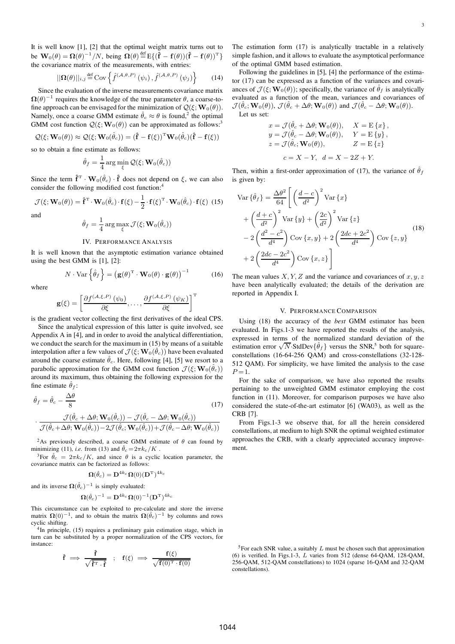It is well know [1], [2] that the optimal weight matrix turns out to be  $\mathbf{W}_0(\theta) = \mathbf{\Omega}(\theta)^{-1}/N$ , being  $\mathbf{\Omega}(\theta) \stackrel{\text{def}}{=} E\{(\hat{\mathbf{f}} - \mathbf{f}(\theta))(\hat{\mathbf{f}} - \mathbf{f}(\theta))^{\text{T}}\}$ the covariance matrix of the measurements, with entries:

$$
||\mathbf{\Omega}(\theta)||_{i,j} \stackrel{\text{def}}{=} \text{Cov}\left\{ \hat{f}^{(\mathcal{A},\theta,P)}(\psi_i), \hat{f}^{(\mathcal{A},\theta,P)}(\psi_j) \right\}
$$
(14)

Since the evaluation of the inverse measurements covariance matrix  $\Omega(\theta)^{-1}$  requires the knowledge of the true parameter  $\theta$ , a coarse-to-<br>fine approach can be envisaged for the minimization of  $O(\epsilon \cdot \mathbf{W}_{\alpha}(\theta))$ fine approach can be envisaged for the minimization of  $\mathcal{Q}(\xi; \mathbf{W}_0(\theta))$ . Namely, once a coarse GMM estimate  $\hat{\theta}_c \approx \theta$  is found,<sup>2</sup> the optimal GMM cost function  $\mathcal{Q}(\xi; \mathbf{W}_0(\theta))$  can be approximated as follows:<sup>3</sup>

$$
Q(\xi; \mathbf{W}_0(\theta)) \approx Q(\xi; \mathbf{W}_0(\hat{\theta}_c)) = (\mathbf{\hat{f}} - \mathbf{f}(\xi))^T \mathbf{W}_0(\hat{\theta}_c) (\mathbf{\hat{f}} - \mathbf{f}(\xi))
$$

so to obtain a fine estimate as follows:

$$
\hat{\theta}_f = \frac{1}{4} \arg \min_{\xi} \mathcal{Q}(\xi; \mathbf{W}_0(\hat{\theta}_c))
$$

Since the term  $\hat{\mathbf{f}}^T \cdot \mathbf{W}_0(\hat{\theta}_c) \cdot \hat{\mathbf{f}}$  does not depend on  $\xi$ , we can also consider the following modified cost function.<sup>4</sup> consider the following modified cost function:<sup>4</sup>

$$
\mathcal{J}(\xi; \mathbf{W}_0(\theta)) = \mathbf{\hat{f}}^{\mathrm{T}} \cdot \mathbf{W}_0(\hat{\theta}_c) \cdot \mathbf{f}(\xi) - \frac{1}{2} \cdot \mathbf{f}(\xi)^{\mathrm{T}} \cdot \mathbf{W}_0(\hat{\theta}_c) \cdot \mathbf{f}(\xi)
$$
 (15)

and

$$
\hat{\theta}_f = \frac{1}{4} \arg \max_{\xi} \mathcal{J}(\xi; \mathbf{W}_0(\hat{\theta}_c))
$$

#### IV. PERFORMANCE ANALYSIS

It is well known that the asymptotic estimation variance obtained using the best GMM is [1], [2]:

where

$$
\mathbf{g}(\xi) = \left[ \frac{\partial f^{(\mathcal{A}, \xi, P)}(\psi_0)}{\partial \xi}, \dots, \frac{\partial f^{(\mathcal{A}, \xi, P)}(\psi_K)}{\partial \xi} \right]^{\mathrm{T}}
$$

 $N \cdot \text{Var} \left\{ \hat{\theta}_f \right\} = \left( \mathbf{g}(\theta)^{\text{T}} \cdot \mathbf{W}_0(\theta) \cdot \mathbf{g}(\theta) \right)^{-1}$  (16)

 $\partial \mathcal{E}$ is the gradient vector collecting the first derivatives of the ideal CPS.

Since the analytical expression of this latter is quite involved, see Appendix A in [4], and in order to avoid the analytical differentiation, we conduct the search for the maximum in (15) by means of a suitable interpolation after a few values of  $\mathcal{J}(\xi; \mathbf{W}_0(\hat{\theta}_c))$  have been evaluated<br>around the coarse estimate  $\hat{\theta}$ . Here, following [4], [5] we resort to a around the coarse estimate  $\hat{\theta}_c$ . Here, following [4], [5] we resort to a parabolic approximation for the GMM cost function  $\mathcal{J}(\xi; \mathbf{W}_0(\hat{\theta}_c))$ around its maximum, thus obtaining the following expression for the fine estimate  $\ddot{\theta}_f$ :

$$
\hat{\theta}_{f} = \hat{\theta}_{c} - \frac{\Delta\theta}{8}
$$
\n
$$
\frac{\mathcal{J}(\hat{\theta}_{c} + \Delta\theta; \mathbf{W}_{0}(\hat{\theta}_{c})) - \mathcal{J}(\hat{\theta}_{c} - \Delta\theta; \mathbf{W}_{0}(\hat{\theta}_{c}))}{\mathcal{J}(\hat{\theta}_{c} + \Delta\theta; \mathbf{W}_{0}(\hat{\theta}_{c})) - 2\mathcal{J}(\hat{\theta}_{c}; \mathbf{W}_{0}(\hat{\theta}_{c})) + \mathcal{J}(\hat{\theta}_{c} - \Delta\theta; \mathbf{W}_{0}(\hat{\theta}_{c}))}
$$
\n(17)

<sup>2</sup>As previously described, a coarse GMM estimate of  $\theta$  can found by minimizing (11), *i.e.* from (13) and  $\hat{\theta}_c = 2\pi k_c/K$ .

<sup>3</sup>For  $\hat{\theta}_c = 2\pi k_c/K$ , and since  $\theta$  is a cyclic location parameter, the covariance matrix can be factorized as follows:

$$
\boldsymbol{\Omega}(\hat{\theta}_c) = \mathbf{D}^{4k_c}\boldsymbol{\Omega}(0)(\mathbf{D}^\mathrm{T})^{4k_c}
$$

and its inverse  $\Omega(\hat{\theta}_c)^{-1}$  is simply evaluated:

$$
\boldsymbol{\Omega}(\hat{\theta}_c)^{-1} = \mathbf{D}^{4k_c}\boldsymbol{\Omega}(0)^{-1}(\mathbf{D}^{\rm T})^{4k_c}
$$

This circumstance can be exploited to pre-calculate and store the inverse matrix  $\Omega(0)^{-1}$ , and to obtain the matrix  $\Omega(\hat{\theta}_c)^{-1}$  by columns and rows cyclic shifting.

<sup>4</sup>In principle, (15) requires a preliminary gain estimation stage, which in turn can be substituted by a proper normalization of the CPS vectors, for instance:

$$
\hat{\mathbf{f}} \implies \frac{\hat{\mathbf{f}}}{\sqrt{\hat{\mathbf{f}}^T \cdot \hat{\mathbf{f}}}} \; ; \; \; \mathbf{f}(\xi) \implies \frac{\mathbf{f}(\xi)}{\sqrt{\mathbf{f}(0)^T \cdot \mathbf{f}(0)}}
$$

The estimation form (17) is analytically tractable in a relatively simple fashion, and it allows to evaluate the asymptotical performance of the optimal GMM based estimation.

Following the guidelines in [5], [4] the performance of the estimator (17) can be expressed as a function of the variances and covariances of  $\mathcal{J}(\xi; \mathbf{W}_0(\theta))$ ; specifically, the variance of  $\hat{\theta}_f$  is analytically evaluated as a function of the mean, variances and covariances of  $\mathcal{J}(\hat{\theta}_c; \mathbf{W}_0(\theta)), \mathcal{J}(\hat{\theta}_c + \Delta\theta; \mathbf{W}_0(\theta))$  and  $\mathcal{J}(\hat{\theta}_c - \Delta\theta; \mathbf{W}_0(\theta)).$ Let us set:

$$
x = \mathcal{J}(\hat{\theta}_c + \Delta\theta; \mathbf{W}_0(\theta)), \quad X = E\{x\},
$$
  
\n
$$
y = \mathcal{J}(\hat{\theta}_c - \Delta\theta; \mathbf{W}_0(\theta)), \quad Y = E\{y\},
$$
  
\n
$$
z = \mathcal{J}(\hat{\theta}_c; \mathbf{W}_0(\theta)), \quad Z = E\{z\}
$$
  
\n
$$
c = X - Y, \quad d = X - 2Z + Y.
$$

Then, within a first-order approximation of (17), the variance of  $\hat{\theta}_f$ is given by:

$$
\begin{aligned}\n\text{Var}\left\{\hat{\theta}_{f}\right\} &= \frac{\Delta\theta^{2}}{64} \Bigg[ \left(\frac{d-c}{d^{2}}\right)^{2} \text{Var}\left\{x\right\} \\
&+ \left(\frac{d+c}{d^{2}}\right)^{2} \text{Var}\left\{y\right\} + \left(\frac{2c}{d^{2}}\right)^{2} \text{Var}\left\{z\right\} \\
&- 2\left(\frac{d^{2}-c^{2}}{d^{4}}\right) \text{Cov}\left\{x,y\right\} + 2\left(\frac{2dc + 2c^{2}}{d^{4}}\right) \text{Cov}\left\{z,y\right\} \\
&+ 2\left(\frac{2dc - 2c^{2}}{d^{4}}\right) \text{Cov}\left\{x,z\right\}\Bigg]\n\end{aligned}
$$
\n(18)

The mean values  $X, Y, Z$  and the variance and covariances of  $x, y, z$ have been analytically evaluated; the details of the derivation are reported in Appendix I.

#### V. PERFORMANCE COMPARISON

Using (18) the accuracy of the *best* GMM estimator has been evaluated. In Figs.1-3 we have reported the results of the analysis, expressed in terms of the normalized standard deviation of the estimation error  $\sqrt{N}$ ·StdDev{ $\hat{\theta}_f$ } versus the SNR,<sup>5</sup> both for squareconstellations (16-64-256 QAM) and cross-constellations (32-128- 512 QAM). For simplicity, we have limited the analysis to the case  $P = 1$ 

For the sake of comparison, we have also reported the results pertaining to the unweighted GMM estimator employing the cost function in (11). Moreover, for comparison purposes we have also considered the state-of-the-art estimator [6] (WA03), as well as the CRB [7].

From Figs.1-3 we observe that, for all the herein considered constellations, at medium to high SNR the optimal weighted estimator approaches the CRB, with a clearly appreciated accuracy improvement.

<sup>&</sup>lt;sup>5</sup>For each SNR value, a suitably  $L$  must be chosen such that approximation (6) is verified. In Figs.1-3,  $L$  varies from 512 (dense 64-QAM, 128-QAM, 256-QAM, 512-QAM constellations) to 1024 (sparse 16-QAM and 32-QAM constellations).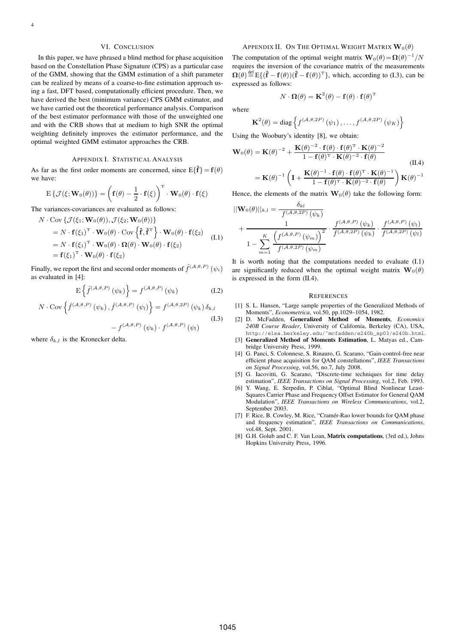# VI. CONCLUSION

In this paper, we have phrased a blind method for phase acquisition based on the Constellation Phase Signature (CPS) as a particular case of the GMM, showing that the GMM estimation of a shift parameter can be realized by means of a coarse-to-fine estimation approach using a fast, DFT based, computationally efficient procedure. Then, we have derived the best (minimum variance) CPS GMM estimator, and we have carried out the theoretical performance analysis. Comparison of the best estimator performance with those of the unweighted one and with the CRB shows that at medium to high SNR the optimal weighting definitely improves the estimator performance, and the optimal weighted GMM estimator approaches the CRB.

#### APPENDIX I. STATISTICAL ANALYSIS

As far as the first order moments are concerned, since  $E{\hat{\bf{f}}}= {\bf{f}}(\theta)$ we have:

$$
\mathrm{E}\left\{\mathcal{J}(\xi; \mathbf{W}_0(\theta))\right\} = \left(\mathbf{f}(\theta) - \frac{1}{2} \cdot \mathbf{f}(\xi)\right)^{\mathrm{T}} \cdot \mathbf{W}_0(\theta) \cdot \mathbf{f}(\xi)
$$

The variances-covariances are evaluated as follows:

$$
N \cdot \text{Cov} \{ \mathcal{J}(\xi_1; \mathbf{W}_0(\theta)), \mathcal{J}(\xi_2; \mathbf{W}_0(\theta)) \}
$$
  
=  $N \cdot \mathbf{f}(\xi_1)^T \cdot \mathbf{W}_0(\theta) \cdot \text{Cov} \{ \hat{\mathbf{f}}, \hat{\mathbf{f}}^T \} \cdot \mathbf{W}_0(\theta) \cdot \mathbf{f}(\xi_2)$   
=  $N \cdot \mathbf{f}(\xi_1)^T \cdot \mathbf{W}_0(\theta) \cdot \mathbf{\Omega}(\theta) \cdot \mathbf{W}_0(\theta) \cdot \mathbf{f}(\xi_2)$   
=  $\mathbf{f}(\xi_1)^T \cdot \mathbf{W}_0(\theta) \cdot \mathbf{f}(\xi_2)$  (I.1)

Finally, we report the first and second order moments of  $\hat{f}^{(\mathcal{A},\theta,P)}(\psi_i)$ as evaluated in [4]:

$$
E\left\{\hat{f}^{(\mathcal{A},\theta,P)}\left(\psi_{k}\right)\right\} = f^{(\mathcal{A},\theta,P)}\left(\psi_{k}\right) \tag{I.2}
$$

$$
N \cdot \text{Cov} \left\{ \hat{f}^{(\mathcal{A}, \theta, P)} (\psi_k), \hat{f}^{(\mathcal{A}, \theta, P)} (\psi_l) \right\} = f^{(\mathcal{A}, \theta, 2P)} (\psi_k) \, \delta_{k,l} - f^{(\mathcal{A}, \theta, P)} (\psi_k) \cdot f^{(\mathcal{A}, \theta, P)} (\psi_l)
$$
(I.3)

where  $\delta_{k,l}$  is the Kronecker delta.

## APPENDIX II. ON THE OPTIMAL WEIGHT MATRIX  $\mathbf{W}_0(\theta)$

The computation of the optimal weight matrix  $\mathbf{W}_0(\theta) = \mathbf{\Omega}(\theta)^{-1}/N$ requires the inversion of the covariance matrix of the measurements  $\Omega(\theta) \stackrel{\text{def}}{=} E\{(\hat{\mathbf{f}} - \mathbf{f}(\theta)) (\hat{\mathbf{f}} - \mathbf{f}(\theta))^T\}$ , which, according to (I.3), can be expressed as follows:

$$
N \cdot \mathbf{\Omega}(\theta) = \mathbf{K}^2(\theta) - \mathbf{f}(\theta) \cdot \mathbf{f}(\theta)^T
$$

where

$$
\mathbf{K}^{2}(\theta) = \mathrm{diag}\left\{ f^{(\mathcal{A}, \theta, 2P)}(\psi_1), \ldots, f^{(\mathcal{A}, \theta, 2P)}(\psi_K) \right\}
$$

Using the Woobury's identity [8], we obtain:

$$
\mathbf{W}_0(\theta) = \mathbf{K}(\theta)^{-2} + \frac{\mathbf{K}(\theta)^{-2} \cdot \mathbf{f}(\theta) \cdot \mathbf{f}(\theta)^{\mathrm{T}} \cdot \mathbf{K}(\theta)^{-2}}{1 - \mathbf{f}(\theta)^{\mathrm{T}} \cdot \mathbf{K}(\theta)^{-2} \cdot \mathbf{f}(\theta)}
$$
(II.4)  
= 
$$
\mathbf{K}(\theta)^{-1} \left( \mathbf{I} + \frac{\mathbf{K}(\theta)^{-1} \cdot \mathbf{f}(\theta) \cdot \mathbf{f}(\theta)^{\mathrm{T}} \cdot \mathbf{K}(\theta)^{-1}}{1 - \mathbf{f}(\theta)^{\mathrm{T}} \cdot \mathbf{K}(\theta)^{-2} \cdot \mathbf{f}(\theta)} \right) \mathbf{K}(\theta)^{-1}
$$

Hence, the elements of the matrix  $\mathbf{W}_0(\theta)$  take the following form:

$$
||\mathbf{W}_{0}(\theta)||_{k,l} = \frac{\delta_{kl}}{f^{(\mathcal{A},\theta,2P)}(\psi_{k})} + \frac{1}{1 - \sum_{m=1}^{K} \frac{\left(f^{(\mathcal{A},\theta,P)}(\psi_{m})\right)^{2}}{f^{(\mathcal{A},\theta,2P)}(\psi_{m})} \cdot \frac{f^{(\mathcal{A},\theta,P)}(\psi_{k})}{f^{(\mathcal{A},\theta,2P)}(\psi_{k})} \cdot \frac{f^{(\mathcal{A},\theta,P)}(\psi_{l})}{f^{(\mathcal{A},\theta,2P)}(\psi_{l})}
$$

It is worth noting that the computations needed to evaluate (I.1) are significantly reduced when the optimal weight matrix  $\mathbf{W}_0(\theta)$ is expressed in the form (II.4).

#### **REFERENCES**

- [1] S. L. Hansen, "Large sample properties of the Generalized Methods of Moments", *Econometrica*, vol.50, pp.1029–1054, 1982.
- [2] D. McFadden, **Generalized Method of Moments**, *Economics 240B Course Reader*, University of California, Berkeley (CA), USA, http://elsa.berkeley.edu/˜mcfadden/e240b\_sp03/e240b.html.
- [3] **Generalized Method of Moments Estimation**, L. Matyas ed., Cambridge University Press, 1999.
- [4] G. Panci, S. Colonnese, S. Rinauro, G. Scarano, "Gain-control-free near efficient phase acquisition for QAM constellations", *IEEE Transactions on Signal Processing*, vol.56, no.7, July 2008.
- [5] G. Iacovitti, G. Scarano, "Discrete-time techniques for time delay estimation", *IEEE Transactions on Signal Processing*, vol.2, Feb. 1993.
- [6] Y. Wang, E. Serpedin, P. Ciblat, "Optimal Blind Nonlinear Least-Squares Carrier Phase and Frequency Offset Estimator for General QAM Modulation", *IEEE Transactions on Wireless Communications*, vol.2, September 2003.
- [7] F. Rice, B. Cowley, M. Rice, "Cramér-Rao lower bounds for QAM phase and frequency estimation", *IEEE Transactions on Communications*, vol.48, Sept. 2001.
- [8] G.H. Golub and C. F. Van Loan, **Matrix computations**, (3rd ed.), Johns Hopkins University Press, 1996.